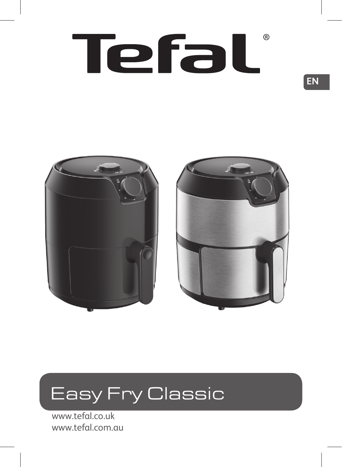# (R) Tefal





www.tefal.co.uk www.tefal.com.au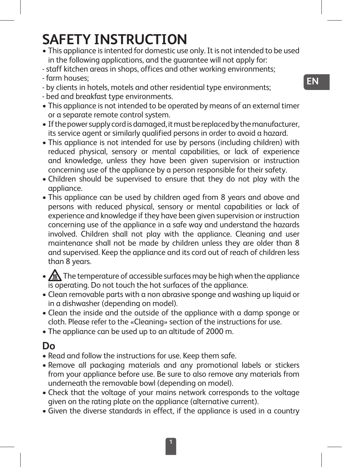# **SAFETY INSTRUCTION**

- This appliance is intented for domestic use only. It is not intended to be used in the following applications, and the guarantee will not apply for:
- staff kitchen areas in shops, offices and other working environments;
- farm houses;
- by clients in hotels, motels and other residential type environments;
- bed and breakfast type environments.
- This appliance is not intended to be operated by means of an external timer or a separate remote control system.
- If the power supply cord is damaged, it must be replaced by the manufacturer, its service agent or similarly qualified persons in order to avoid a hazard.
- This appliance is not intended for use by persons (including children) with reduced physical, sensory or mental capabilities, or lack of experience and knowledge, unless they have been given supervision or instruction concerning use of the appliance by a person responsible for their safety.
- Children should be supervised to ensure that they do not play with the appliance.
- This appliance can be used by children aged from 8 years and above and persons with reduced physical, sensory or mental capabilities or lack of experience and knowledge if they have been given supervision or instruction concerning use of the appliance in a safe way and understand the hazards involved. Children shall not play with the appliance. Cleaning and user maintenance shall not be made by children unless they are older than 8 and supervised. Keep the appliance and its cord out of reach of children less than 8 years.
- $\sqrt{\mathbb{A}}$  The temperature of accessible surfaces may be high when the appliance is operating. Do not touch the hot surfaces of the appliance.
- Clean removable parts with a non abrasive sponge and washing up liquid or in a dishwasher (depending on model).
- Clean the inside and the outside of the appliance with a damp sponge or cloth. Please refer to the «Cleaning» section of the instructions for use.
- The appliance can be used up to an altitude of 2000 m.

## **Do**

- Read and follow the instructions for use. Keep them safe.
- Remove all packaging materials and any promotional labels or stickers from your appliance before use. Be sure to also remove any materials from underneath the removable bowl (depending on model).
- Check that the voltage of your mains network corresponds to the voltage given on the rating plate on the appliance (alternative current).
- Given the diverse standards in effect, if the appliance is used in a country

**EN**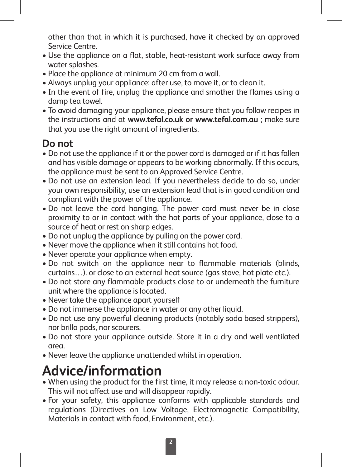other than that in which it is purchased, have it checked by an approved Service Centre.

- Use the appliance on a flat, stable, heat-resistant work surface away from water splashes.
- Place the appliance at minimum 20 cm from a wall.
- Always unplug your appliance: after use, to move it, or to clean it.
- In the event of fire, unplug the appliance and smother the flames using a damp tea towel.
- To avoid damaging your appliance, please ensure that you follow recipes in the instructions and at **www.tefal.co.uk or www.tefal.com.au** ; make sure that you use the right amount of ingredients.

## **Do not**

- Do not use the appliance if it or the power cord is damaged or if it has fallen and has visible damage or appears to be working abnormally. If this occurs, the appliance must be sent to an Approved Service Centre.
- Do not use an extension lead. If you nevertheless decide to do so, under your own responsibility, use an extension lead that is in good condition and compliant with the power of the appliance.
- Do not leave the cord hanging. The power cord must never be in close proximity to or in contact with the hot parts of your appliance, close to a source of heat or rest on sharp edges.
- Do not unplug the appliance by pulling on the power cord.
- Never move the appliance when it still contains hot food.
- Never operate your appliance when empty.
- Do not switch on the appliance near to flammable materials (blinds, curtains…). or close to an external heat source (gas stove, hot plate etc.).
- Do not store any flammable products close to or underneath the furniture unit where the appliance is located.
- Never take the appliance apart yourself
- Do not immerse the appliance in water or any other liquid.
- Do not use any powerful cleaning products (notably soda based strippers), nor brillo pads, nor scourers.
- Do not store your appliance outside. Store it in a dry and well ventilated area.
- Never leave the appliance unattended whilst in operation.

# **Advice/information**

- When using the product for the first time, it may release a non-toxic odour. This will not affect use and will disappear rapidly.
- For your safety, this appliance conforms with applicable standards and regulations (Directives on Low Voltage, Electromagnetic Compatibility, Materials in contact with food, Environment, etc.).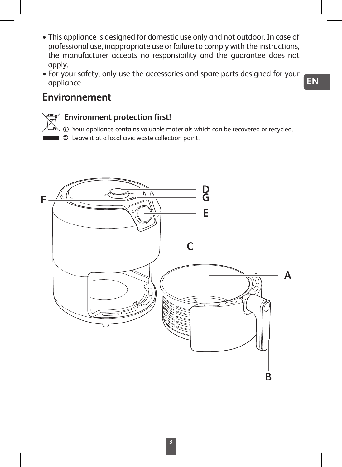- This appliance is designed for domestic use only and not outdoor. In case of professional use, inappropriate use or failure to comply with the instructions, the manufacturer accepts no responsibility and the guarantee does not apply.
- For your safety, only use the accessories and spare parts designed for your appliance

#### **Environnement**

#### **Environment protection first!**

 $i$  Your appliance contains valuable materials which can be recovered or recycled.

 $\Box$   $\Box$  Leave it at a local civic waste collection point.

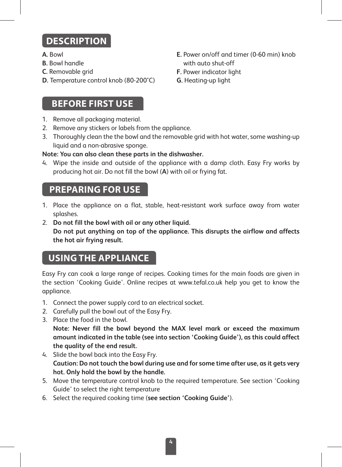# **DESCRIPTION**

- **A.** Bowl
- **B.** Bowl handle
- **C.** Removable grid
- **D.** Temperature control knob (80-200°C)

#### **BEFORE FIRST USE**

- 1. Remove all packaging material.
- 2. Remove any stickers or labels from the appliance.
- 3. Thoroughly clean the the bowl and the removable grid with hot water, some washing-up liquid and a non-abrasive sponge.

#### **Note: You can also clean these parts in the dishwasher.**

4. Wipe the inside and outside of the appliance with a damp cloth. Easy Fry works by producing hot air. Do not fill the bowl (**A**) with oil or frying fat.

#### **PREPARING FOR USE**

- 1. Place the appliance on a flat, stable, heat-resistant work surface away from water splashes.
- 2. **Do not fill the bowl with oil or any other liquid. Do not put anything on top of the appliance. This disrupts the airflow and affects the hot air frying result.**

## **USING THE APPLIANCE**

Easy Fry can cook a large range of recipes. Cooking times for the main foods are given in the section 'Cooking Guide'. Online recipes at www.tefal.co.uk help you get to know the appliance.

- 1. Connect the power supply cord to an electrical socket.
- 2. Carefully pull the bowl out of the Easy Fry.
- 3. Place the food in the bowl.

**Note: Never fill the bowl beyond the MAX level mark or exceed the maximum amount indicated in the table (see into section 'Cooking Guide'), as this could affect the quality of the end result.**

- 4. Slide the bowl back into the Easy Fry. **Caution: Do not touch the bowl during use and for some time after use, as it gets very hot. Only hold the bowl by the handle.**
- 5. Move the temperature control knob to the required temperature. See section 'Cooking Guide' to select the right temperature
- 6. Select the required cooking time (**see section 'Cooking Guide'**).
- **E.** Power on/off and timer (0-60 min) knob with auto shut-off
- **F.** Power indicator light
- **G.** Heating-up light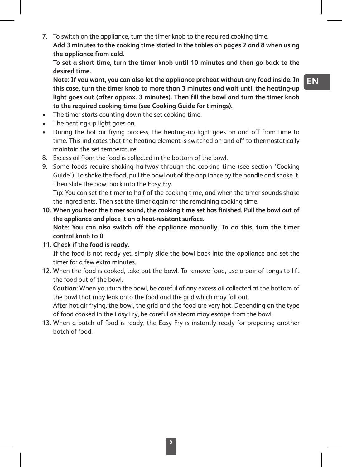7. To switch on the appliance, turn the timer knob to the required cooking time. **Add 3 minutes to the cooking time stated in the tables on pages 7 and 8 when using the appliance from cold.**

**To set a short time, turn the timer knob until 10 minutes and then go back to the desired time.**

**Note: If you want, you can also let the appliance preheat without any food inside. In this case, turn the timer knob to more than 3 minutes and wait until the heating-up light goes out (after approx. 3 minutes). Then fill the bowl and turn the timer knob to the required cooking time (see Cooking Guide for timings).**

- The timer starts counting down the set cooking time.
- The heating-up light goes on.
- During the hot air frying process, the heating-up light goes on and off from time to time. This indicates that the heating element is switched on and off to thermostatically maintain the set temperature.
- 8. Excess oil from the food is collected in the bottom of the bowl.
- 9. Some foods require shaking halfway through the cooking time (see section 'Cooking Guide'). To shake the food, pull the bowl out of the appliance by the handle and shake it. Then slide the bowl back into the Easy Fry.

Tip: You can set the timer to half of the cooking time, and when the timer sounds shake the ingredients. Then set the timer again for the remaining cooking time.

- **10. When you hear the timer sound, the cooking time set has finished. Pull the bowl out of the appliance and place it on a heat-resistant surface. Note: You can also switch off the appliance manually. To do this, turn the timer control knob to 0.**
- **11. Check if the food is ready.**

If the food is not ready yet, simply slide the bowl back into the appliance and set the timer for a few extra minutes.

12. When the food is cooked, take out the bowl. To remove food, use a pair of tongs to lift the food out of the bowl.

**Caution**: When you turn the bowl, be careful of any excess oil collected at the bottom of the bowl that may leak onto the food and the grid which may fall out.

After hot air frying, the bowl, the grid and the food are very hot. Depending on the type of food cooked in the Easy Fry, be careful as steam may escape from the bowl.

13. When a batch of food is ready, the Easy Fry is instantly ready for preparing another batch of food.

**EN**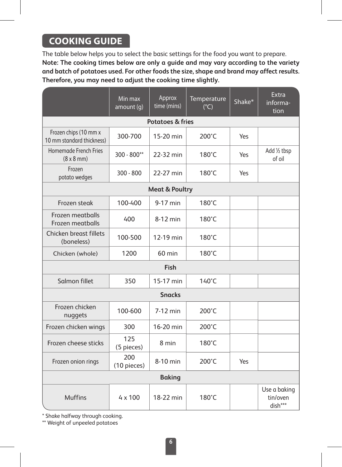#### **COOKING GUIDE**

The table below helps you to select the basic settings for the food you want to prepare. **Note: The cooking times below are only a guide and may vary according to the variety and batch of potatoes used. For other foods the size, shape and brand may affect results. Therefore, you may need to adjust the cooking time slightly.**

|                                                    | Min max<br>amount (g) | Approx<br>time (mins) | Temperature<br>$(^{\circ}C)$ | Shake* | Extra<br>informa-<br>tion           |
|----------------------------------------------------|-----------------------|-----------------------|------------------------------|--------|-------------------------------------|
| <b>Potatoes &amp; fries</b>                        |                       |                       |                              |        |                                     |
| Frozen chips (10 mm x<br>10 mm standard thickness) | 300-700               | 15-20 min             | 200°C                        | Yes    |                                     |
| Homemade French Fries<br>$(8 \times 8 \text{ mm})$ | $300 - 800**$         | 22-32 min             | 180°C                        | Yes    | Add 1/2 tbsp<br>of oil              |
| Frozen<br>potato wedges                            | $300 - 800$           | 22-27 min             | 180°C                        | Yes    |                                     |
| <b>Meat &amp; Poultry</b>                          |                       |                       |                              |        |                                     |
| Frozen steak                                       | 100-400               | 9-17 min              | $180^{\circ}$ C              |        |                                     |
| Frozen meatballs<br>Frozen meatballs               | 400                   | 8-12 min              | 180°C                        |        |                                     |
| Chicken breast fillets<br>(boneless)               | 100-500               | 12-19 min             | $180^{\circ}$ C              |        |                                     |
| Chicken (whole)                                    | 1200                  | $60$ min              | $180^{\circ}$ C              |        |                                     |
| Fish                                               |                       |                       |                              |        |                                     |
| Salmon fillet                                      | 350                   | 15-17 min             | $140^{\circ}$ C              |        |                                     |
| <b>Snacks</b>                                      |                       |                       |                              |        |                                     |
| Frozen chicken<br>nuggets                          | 100-600               | 7-12 min              | 200°C                        |        |                                     |
| Frozen chicken wings                               | 300                   | 16-20 min             | 200°C                        |        |                                     |
| Frozen cheese sticks                               | 125<br>(5 pieces)     | 8 min                 | 180°C                        |        |                                     |
| Frozen onion rings                                 | 200<br>(10 pieces)    | 8-10 min              | 200°C                        | Yes    |                                     |
| <b>Baking</b>                                      |                       |                       |                              |        |                                     |
| <b>Muffins</b>                                     | $4 \times 100$        | 18-22 min             | 180°C                        |        | Use a baking<br>tin/oven<br>dish*** |

\* Shake halfway through cooking.

\*\* Weight of unpeeled potatoes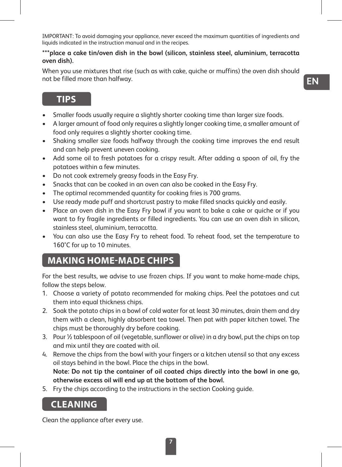IMPORTANT: To avoid damaging your appliance, never exceed the maximum quantities of ingredients and liquids indicated in the instruction manual and in the recipes.

#### **\*\*\*place a cake tin/oven dish in the bowl (silicon, stainless steel, aluminium, terracotta oven dish).**

When you use mixtures that rise (such as with cake, quiche or muffins) the oven dish should not be filled more than halfway.

**EN**

#### **TIPS**

- Smaller foods usually require a slightly shorter cooking time than larger size foods.
- A larger amount of food only requires a slightly longer cooking time, a smaller amount of food only requires a slightly shorter cooking time.
- Shaking smaller size foods halfway through the cooking time improves the end result and can help prevent uneven cooking.
- Add some oil to fresh potatoes for a crispy result. After adding a spoon of oil, fry the potatoes within a few minutes.
- Do not cook extremely greasy foods in the Easy Fry.
- Snacks that can be cooked in an oven can also be cooked in the Easy Fry.
- The optimal recommended quantity for cooking fries is 700 grams.
- Use ready made puff and shortcrust pastry to make filled snacks quickly and easily.
- Place an oven dish in the Easy Fry bowl if you want to bake a cake or quiche or if you want to fry fragile ingredients or filled ingredients. You can use an oven dish in silicon, stainless steel, aluminium, terracotta.
- You can also use the Easy Fry to reheat food. To reheat food, set the temperature to 160°C for up to 10 minutes.

#### **MAKING HOME-MADE CHIPS**

For the best results, we advise to use frozen chips. If you want to make home-made chips, follow the steps below.

- 1. Choose a variety of potato recommended for making chips. Peel the potatoes and cut them into equal thickness chips.
- 2. Soak the potato chips in a bowl of cold water for at least 30 minutes, drain them and dry them with a clean, highly absorbent tea towel. Then pat with paper kitchen towel. The chips must be thoroughly dry before cooking.
- 3. Pour ½ tablespoon of oil (vegetable, sunflower or olive) in a dry bowl, put the chips on top and mix until they are coated with oil.
- 4. Remove the chips from the bowl with your fingers or a kitchen utensil so that any excess oil stays behind in the bowl. Place the chips in the bowl. **Note: Do not tip the container of oil coated chips directly into the bowl in one go, otherwise excess oil will end up at the bottom of the bowl.**
- 5. Fry the chips according to the instructions in the section Cooking guide.

#### **CLEANING**

Clean the appliance after every use.

**7**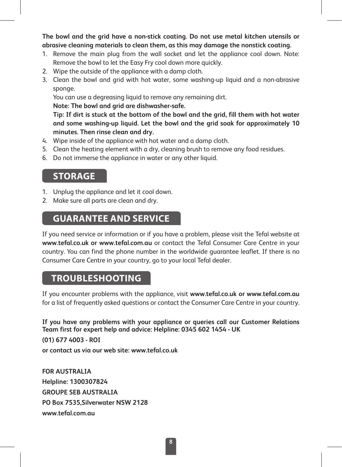**The bowl and the grid have a non-stick coating. Do not use metal kitchen utensils or abrasive cleaning materials to clean them, as this may damage the nonstick coating.**

- 1. Remove the main plug from the wall socket and let the appliance cool down. Note: Remove the bowl to let the Easy Fry cool down more quickly.
- 2. Wipe the outside of the appliance with a damp cloth.
- 3. Clean the bowl and grid with hot water, some washing-up liquid and a non-abrasive sponge.

You can use a degreasing liquid to remove any remaining dirt.

**Note: The bowl and grid are dishwasher-safe.**

**Tip: If dirt is stuck at the bottom of the bowl and the grid, fill them with hot water and some washing-up liquid. Let the bowl and the grid soak for approximately 10 minutes. Then rinse clean and dry.**

- 4. Wine inside of the appliance with hot water and a damp cloth.
- 5. Clean the heating element with a dry, cleaning brush to remove any food residues.
- 6. Do not immerse the appliance in water or any other liquid.

#### **STORAGE**

- 1. Unplug the appliance and let it cool down.
- 2. Make sure all parts are clean and dry.

#### **GUARANTEE AND SERVICE**

If you need service or information or if you have a problem, please visit the Tefal website at **www.tefal.co.uk or www.tefal.com.au** or contact the Tefal Consumer Care Centre in your country. You can find the phone number in the worldwide guarantee leaflet. If there is no Consumer Care Centre in your country, go to your local Tefal dealer.

#### **TROUBLESHOOTING**

If you encounter problems with the appliance, visit **www.tefal.co.uk or www.tefal.com.au**  for a list of frequently asked questions or contact the Consumer Care Centre in your country.

**If you have any problems with your appliance or queries call our Customer Relations Team first for expert help and advice: Helpline: 0345 602 1454 - UK (01) 677 4003 - ROI or contact us via our web site: www.tefal.co.uk** 

**FOR AUSTRALIA Helpline: 1300307824 GROUPE SEB AUSTRALIA PO Box 7535,Silverwater NSW 2128 www.tefal.com.au**